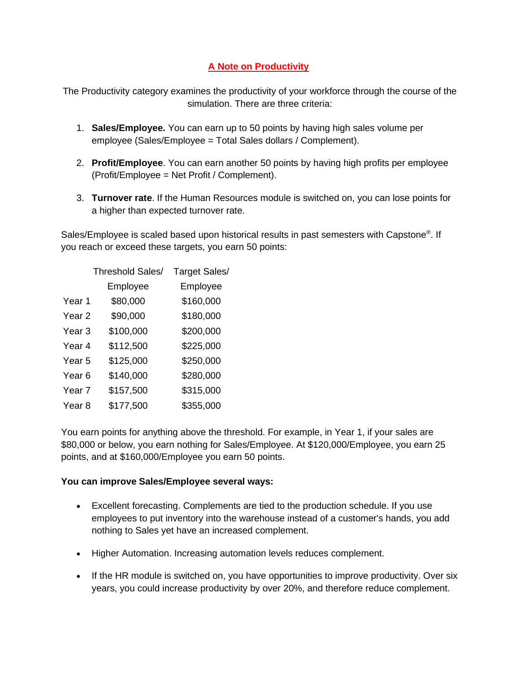## **A Note on Productivity**

The Productivity category examines the productivity of your workforce through the course of the simulation. There are three criteria:

- 1. **Sales/Employee.** You can earn up to 50 points by having high sales volume per employee (Sales/Employee = Total Sales dollars / Complement).
- 2. **Profit/Employee**. You can earn another 50 points by having high profits per employee (Profit/Employee = Net Profit / Complement).
- 3. **Turnover rate**. If the Human Resources module is switched on, you can lose points for a higher than expected turnover rate.

Sales/Employee is scaled based upon historical results in past semesters with Capstone®. If you reach or exceed these targets, you earn 50 points:

|                   | <b>Threshold Sales/</b> | <b>Target Sales/</b> |  |
|-------------------|-------------------------|----------------------|--|
|                   | Employee                | Employee             |  |
| Year 1            | \$80,000                | \$160,000            |  |
| Year <sub>2</sub> | \$90,000                | \$180,000            |  |
| Year 3            | \$100,000               | \$200,000            |  |
| Year 4            | \$112,500               | \$225,000            |  |
| Year 5            | \$125,000               | \$250,000            |  |
| Year 6            | \$140,000               | \$280,000            |  |
| Year 7            | \$157,500               | \$315,000            |  |
| Year 8            | \$177,500               | \$355,000            |  |

You earn points for anything above the threshold. For example, in Year 1, if your sales are \$80,000 or below, you earn nothing for Sales/Employee. At \$120,000/Employee, you earn 25 points, and at \$160,000/Employee you earn 50 points.

## **You can improve Sales/Employee several ways:**

- Excellent forecasting. Complements are tied to the production schedule. If you use employees to put inventory into the warehouse instead of a customer's hands, you add nothing to Sales yet have an increased complement.
- Higher Automation. Increasing automation levels reduces complement.
- If the HR module is switched on, you have opportunities to improve productivity. Over six years, you could increase productivity by over 20%, and therefore reduce complement.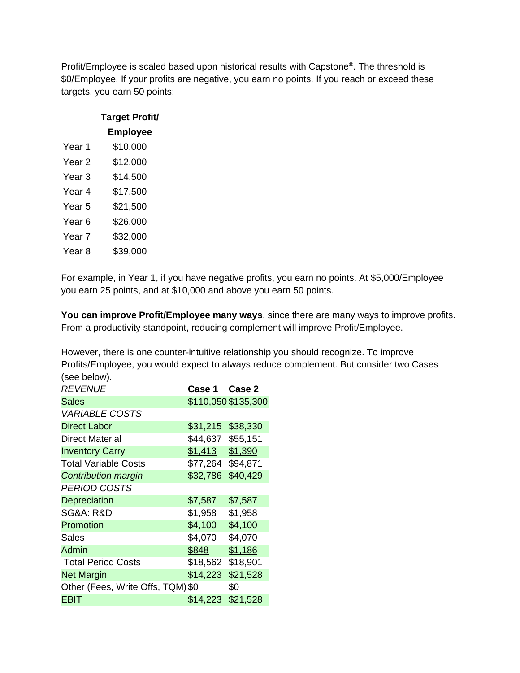Profit/Employee is scaled based upon historical results with Capstone<sup>®</sup>. The threshold is \$0/Employee. If your profits are negative, you earn no points. If you reach or exceed these targets, you earn 50 points:

|                   | <b>Target Profit/</b> |
|-------------------|-----------------------|
|                   | <b>Employee</b>       |
| Year 1            | \$10,000              |
| Year <sub>2</sub> | \$12,000              |
| Year <sub>3</sub> | \$14,500              |
| Year 4            | \$17,500              |
| Year <sub>5</sub> | \$21,500              |
| Year <sub>6</sub> | \$26,000              |
| Year <sub>7</sub> | \$32,000              |
| Year 8            | \$39,000              |

For example, in Year 1, if you have negative profits, you earn no points. At \$5,000/Employee you earn 25 points, and at \$10,000 and above you earn 50 points.

**You can improve Profit/Employee many ways**, since there are many ways to improve profits. From a productivity standpoint, reducing complement will improve Profit/Employee.

However, there is one counter-intuitive relationship you should recognize. To improve Profits/Employee, you would expect to always reduce complement. But consider two Cases (see below).

| <b>ISCC DEIOMI.</b>               |               |                     |
|-----------------------------------|---------------|---------------------|
| <b>REVENUE</b>                    | Case 1 Case 2 |                     |
| <b>Sales</b>                      |               | \$110,050 \$135,300 |
| <b>VARIABLE COSTS</b>             |               |                     |
| <b>Direct Labor</b>               | \$31,215      | \$38,330            |
| Direct Material                   | \$44,637      | \$55,151            |
| <b>Inventory Carry</b>            | \$1,413       | \$1,390             |
| <b>Total Variable Costs</b>       | \$77,264      | \$94,871            |
| <b>Contribution margin</b>        | \$32,786      | \$40,429            |
| <b>PERIOD COSTS</b>               |               |                     |
| Depreciation                      | \$7,587       | \$7,587             |
| SG&A: R&D                         | \$1,958       | \$1,958             |
| Promotion                         | \$4,100       | \$4,100             |
| Sales                             | \$4,070       | \$4,070             |
| <b>Admin</b>                      | \$848         | \$1,186             |
| <b>Total Period Costs</b>         | \$18,562      | \$18,901            |
| <b>Net Margin</b>                 | \$14,223      | \$21,528            |
| Other (Fees, Write Offs, TQM) \$0 |               | \$0                 |
| <b>EBIT</b>                       | \$14,223      | \$21,528            |